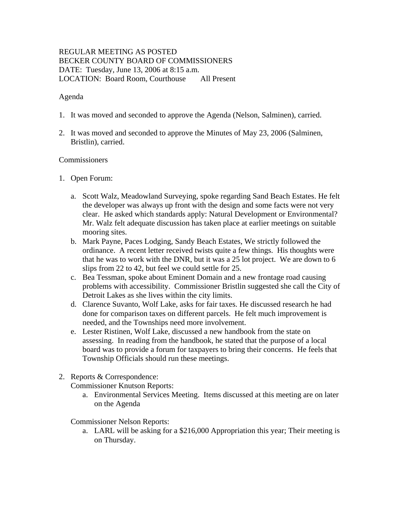# REGULAR MEETING AS POSTED BECKER COUNTY BOARD OF COMMISSIONERS DATE: Tuesday, June 13, 2006 at 8:15 a.m. LOCATION: Board Room, Courthouse All Present

## Agenda

- 1. It was moved and seconded to approve the Agenda (Nelson, Salminen), carried.
- 2. It was moved and seconded to approve the Minutes of May 23, 2006 (Salminen, Bristlin), carried.

### Commissioners

- 1. Open Forum:
	- a. Scott Walz, Meadowland Surveying, spoke regarding Sand Beach Estates. He felt the developer was always up front with the design and some facts were not very clear. He asked which standards apply: Natural Development or Environmental? Mr. Walz felt adequate discussion has taken place at earlier meetings on suitable mooring sites.
	- b. Mark Payne, Paces Lodging, Sandy Beach Estates, We strictly followed the ordinance. A recent letter received twists quite a few things. His thoughts were that he was to work with the DNR, but it was a 25 lot project. We are down to 6 slips from 22 to 42, but feel we could settle for 25.
	- c. Bea Tessman, spoke about Eminent Domain and a new frontage road causing problems with accessibility. Commissioner Bristlin suggested she call the City of Detroit Lakes as she lives within the city limits.
	- d. Clarence Suvanto, Wolf Lake, asks for fair taxes. He discussed research he had done for comparison taxes on different parcels. He felt much improvement is needed, and the Townships need more involvement.
	- e. Lester Ristinen, Wolf Lake, discussed a new handbook from the state on assessing. In reading from the handbook, he stated that the purpose of a local board was to provide a forum for taxpayers to bring their concerns. He feels that Township Officials should run these meetings.
- 2. Reports & Correspondence:

Commissioner Knutson Reports:

a. Environmental Services Meeting. Items discussed at this meeting are on later on the Agenda

Commissioner Nelson Reports:

a. LARL will be asking for a \$216,000 Appropriation this year; Their meeting is on Thursday.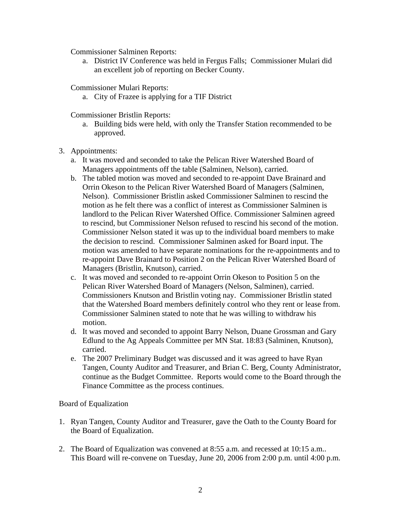Commissioner Salminen Reports:

a. District IV Conference was held in Fergus Falls; Commissioner Mulari did an excellent job of reporting on Becker County.

Commissioner Mulari Reports:

a. City of Frazee is applying for a TIF District

Commissioner Bristlin Reports:

- a. Building bids were held, with only the Transfer Station recommended to be approved.
- 3. Appointments:
	- a. It was moved and seconded to take the Pelican River Watershed Board of Managers appointments off the table (Salminen, Nelson), carried.
	- b. The tabled motion was moved and seconded to re-appoint Dave Brainard and Orrin Okeson to the Pelican River Watershed Board of Managers (Salminen, Nelson). Commissioner Bristlin asked Commissioner Salminen to rescind the motion as he felt there was a conflict of interest as Commissioner Salminen is landlord to the Pelican River Watershed Office. Commissioner Salminen agreed to rescind, but Commissioner Nelson refused to rescind his second of the motion. Commissioner Nelson stated it was up to the individual board members to make the decision to rescind. Commissioner Salminen asked for Board input. The motion was amended to have separate nominations for the re-appointments and to re-appoint Dave Brainard to Position 2 on the Pelican River Watershed Board of Managers (Bristlin, Knutson), carried.
	- c. It was moved and seconded to re-appoint Orrin Okeson to Position 5 on the Pelican River Watershed Board of Managers (Nelson, Salminen), carried. Commissioners Knutson and Bristlin voting nay. Commissioner Bristlin stated that the Watershed Board members definitely control who they rent or lease from. Commissioner Salminen stated to note that he was willing to withdraw his motion.
	- d. It was moved and seconded to appoint Barry Nelson, Duane Grossman and Gary Edlund to the Ag Appeals Committee per MN Stat. 18:83 (Salminen, Knutson), carried.
	- e. The 2007 Preliminary Budget was discussed and it was agreed to have Ryan Tangen, County Auditor and Treasurer, and Brian C. Berg, County Administrator, continue as the Budget Committee. Reports would come to the Board through the Finance Committee as the process continues.

Board of Equalization

- 1. Ryan Tangen, County Auditor and Treasurer, gave the Oath to the County Board for the Board of Equalization.
- 2. The Board of Equalization was convened at 8:55 a.m. and recessed at 10:15 a.m.. This Board will re-convene on Tuesday, June 20, 2006 from 2:00 p.m. until 4:00 p.m.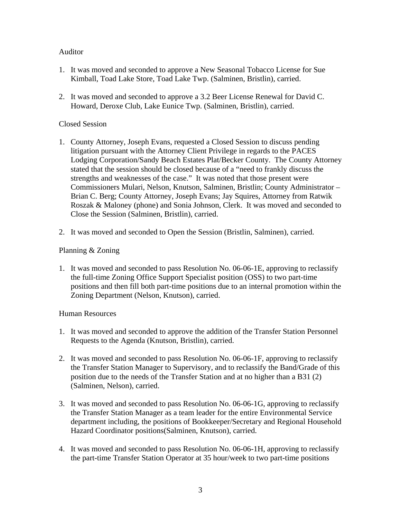# Auditor

- 1. It was moved and seconded to approve a New Seasonal Tobacco License for Sue Kimball, Toad Lake Store, Toad Lake Twp. (Salminen, Bristlin), carried.
- 2. It was moved and seconded to approve a 3.2 Beer License Renewal for David C. Howard, Deroxe Club, Lake Eunice Twp. (Salminen, Bristlin), carried.

# Closed Session

- 1. County Attorney, Joseph Evans, requested a Closed Session to discuss pending litigation pursuant with the Attorney Client Privilege in regards to the PACES Lodging Corporation/Sandy Beach Estates Plat/Becker County. The County Attorney stated that the session should be closed because of a "need to frankly discuss the strengths and weaknesses of the case." It was noted that those present were Commissioners Mulari, Nelson, Knutson, Salminen, Bristlin; County Administrator – Brian C. Berg; County Attorney, Joseph Evans; Jay Squires, Attorney from Ratwik Roszak & Maloney (phone) and Sonia Johnson, Clerk. It was moved and seconded to Close the Session (Salminen, Bristlin), carried.
- 2. It was moved and seconded to Open the Session (Bristlin, Salminen), carried.

# Planning & Zoning

1. It was moved and seconded to pass Resolution No. 06-06-1E, approving to reclassify the full-time Zoning Office Support Specialist position (OSS) to two part-time positions and then fill both part-time positions due to an internal promotion within the Zoning Department (Nelson, Knutson), carried.

# Human Resources

- 1. It was moved and seconded to approve the addition of the Transfer Station Personnel Requests to the Agenda (Knutson, Bristlin), carried.
- 2. It was moved and seconded to pass Resolution No. 06-06-1F, approving to reclassify the Transfer Station Manager to Supervisory, and to reclassify the Band/Grade of this position due to the needs of the Transfer Station and at no higher than a B31 (2) (Salminen, Nelson), carried.
- 3. It was moved and seconded to pass Resolution No. 06-06-1G, approving to reclassify the Transfer Station Manager as a team leader for the entire Environmental Service department including, the positions of Bookkeeper/Secretary and Regional Household Hazard Coordinator positions(Salminen, Knutson), carried.
- 4. It was moved and seconded to pass Resolution No. 06-06-1H, approving to reclassify the part-time Transfer Station Operator at 35 hour/week to two part-time positions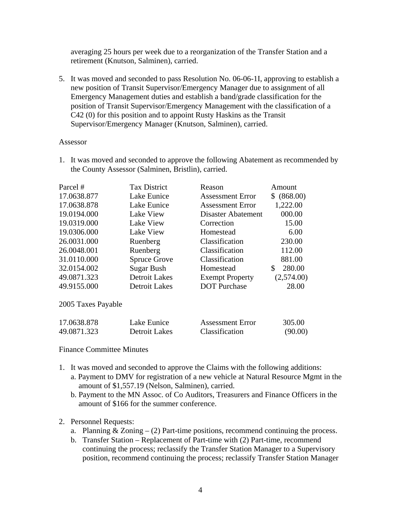averaging 25 hours per week due to a reorganization of the Transfer Station and a retirement (Knutson, Salminen), carried.

5. It was moved and seconded to pass Resolution No. 06-06-1I, approving to establish a new position of Transit Supervisor/Emergency Manager due to assignment of all Emergency Management duties and establish a band/grade classification for the position of Transit Supervisor/Emergency Management with the classification of a C42 (0) for this position and to appoint Rusty Haskins as the Transit Supervisor/Emergency Manager (Knutson, Salminen), carried.

#### Assessor

1. It was moved and seconded to approve the following Abatement as recommended by the County Assessor (Salminen, Bristlin), carried.

| Parcel #           | <b>Tax District</b>  | Reason                  | Amount       |
|--------------------|----------------------|-------------------------|--------------|
| 17.0638.877        | Lake Eunice          | <b>Assessment Error</b> | \$ (868.00)  |
| 17.0638.878        | Lake Eunice          | <b>Assessment Error</b> | 1,222.00     |
| 19.0194.000        | Lake View            | Disaster Abatement      | 000.00       |
| 19.0319.000        | Lake View            | Correction              | 15.00        |
| 19.0306.000        | Lake View            | Homestead               | 6.00         |
| 26.0031.000        | Ruenberg             | Classification          | 230.00       |
| 26.0048.001        | Ruenberg             | Classification          | 112.00       |
| 31.0110.000        | <b>Spruce Grove</b>  | Classification          | 881.00       |
| 32.0154.002        | <b>Sugar Bush</b>    | Homestead               | 280.00<br>\$ |
| 49.0871.323        | <b>Detroit Lakes</b> | <b>Exempt Property</b>  | (2,574.00)   |
| 49.9155.000        | Detroit Lakes        | <b>DOT</b> Purchase     | 28.00        |
| 2005 Taxes Payable |                      |                         |              |

| 17.0638.878 | Lake Eunice   | <b>Assessment Error</b> | 305.00  |
|-------------|---------------|-------------------------|---------|
| 49.0871.323 | Detroit Lakes | Classification          | (90.00) |

#### Finance Committee Minutes

- 1. It was moved and seconded to approve the Claims with the following additions:
	- a. Payment to DMV for registration of a new vehicle at Natural Resource Mgmt in the amount of \$1,557.19 (Nelson, Salminen), carried.
	- b. Payment to the MN Assoc. of Co Auditors, Treasurers and Finance Officers in the amount of \$166 for the summer conference.

### 2. Personnel Requests:

- a. Planning  $& Zoning (2)$  Part-time positions, recommend continuing the process.
- b. Transfer Station Replacement of Part-time with (2) Part-time, recommend continuing the process; reclassify the Transfer Station Manager to a Supervisory position, recommend continuing the process; reclassify Transfer Station Manager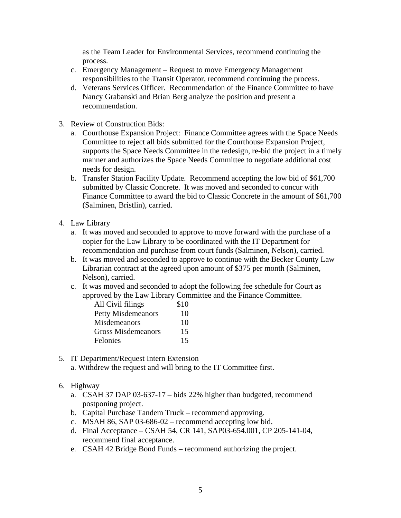as the Team Leader for Environmental Services, recommend continuing the process.

- c. Emergency Management Request to move Emergency Management responsibilities to the Transit Operator, recommend continuing the process.
- d. Veterans Services Officer. Recommendation of the Finance Committee to have Nancy Grabanski and Brian Berg analyze the position and present a recommendation.
- 3. Review of Construction Bids:
	- a. Courthouse Expansion Project: Finance Committee agrees with the Space Needs Committee to reject all bids submitted for the Courthouse Expansion Project, supports the Space Needs Committee in the redesign, re-bid the project in a timely manner and authorizes the Space Needs Committee to negotiate additional cost needs for design.
	- b. Transfer Station Facility Update. Recommend accepting the low bid of \$61,700 submitted by Classic Concrete. It was moved and seconded to concur with Finance Committee to award the bid to Classic Concrete in the amount of \$61,700 (Salminen, Bristlin), carried.
- 4. Law Library
	- a. It was moved and seconded to approve to move forward with the purchase of a copier for the Law Library to be coordinated with the IT Department for recommendation and purchase from court funds (Salminen, Nelson), carried.
	- b. It was moved and seconded to approve to continue with the Becker County Law Librarian contract at the agreed upon amount of \$375 per month (Salminen, Nelson), carried.
	- c. It was moved and seconded to adopt the following fee schedule for Court as approved by the Law Library Committee and the Finance Committee.

| All Civil filings         | \$10 |
|---------------------------|------|
| <b>Petty Misdemeanors</b> | 10   |
| Misdemeanors              | 10   |
| <b>Gross Misdemeanors</b> | 15   |
| Felonies                  | 15   |

- 5. IT Department/Request Intern Extension
	- a. Withdrew the request and will bring to the IT Committee first.
- 6. Highway
	- a. CSAH 37 DAP 03-637-17 bids 22% higher than budgeted, recommend postponing project.
	- b. Capital Purchase Tandem Truck recommend approving.
	- c. MSAH 86, SAP 03-686-02 recommend accepting low bid.
	- d. Final Acceptance CSAH 54, CR 141, SAP03-654.001, CP 205-141-04, recommend final acceptance.
	- e. CSAH 42 Bridge Bond Funds recommend authorizing the project.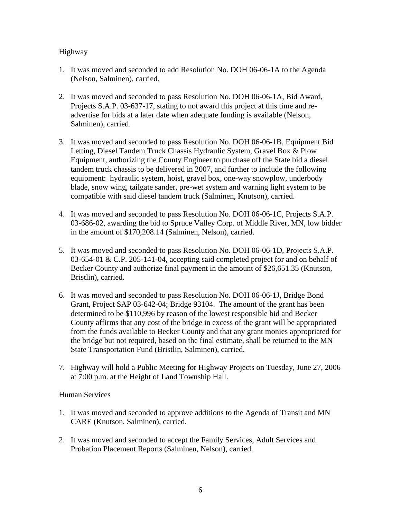## Highway

- 1. It was moved and seconded to add Resolution No. DOH 06-06-1A to the Agenda (Nelson, Salminen), carried.
- 2. It was moved and seconded to pass Resolution No. DOH 06-06-1A, Bid Award, Projects S.A.P. 03-637-17, stating to not award this project at this time and readvertise for bids at a later date when adequate funding is available (Nelson, Salminen), carried.
- 3. It was moved and seconded to pass Resolution No. DOH 06-06-1B, Equipment Bid Letting, Diesel Tandem Truck Chassis Hydraulic System, Gravel Box & Plow Equipment, authorizing the County Engineer to purchase off the State bid a diesel tandem truck chassis to be delivered in 2007, and further to include the following equipment: hydraulic system, hoist, gravel box, one-way snowplow, underbody blade, snow wing, tailgate sander, pre-wet system and warning light system to be compatible with said diesel tandem truck (Salminen, Knutson), carried.
- 4. It was moved and seconded to pass Resolution No. DOH 06-06-1C, Projects S.A.P. 03-686-02, awarding the bid to Spruce Valley Corp. of Middle River, MN, low bidder in the amount of \$170,208.14 (Salminen, Nelson), carried.
- 5. It was moved and seconded to pass Resolution No. DOH 06-06-1D, Projects S.A.P. 03-654-01 & C.P. 205-141-04, accepting said completed project for and on behalf of Becker County and authorize final payment in the amount of \$26,651.35 (Knutson, Bristlin), carried.
- 6. It was moved and seconded to pass Resolution No. DOH 06-06-1J, Bridge Bond Grant, Project SAP 03-642-04; Bridge 93104. The amount of the grant has been determined to be \$110,996 by reason of the lowest responsible bid and Becker County affirms that any cost of the bridge in excess of the grant will be appropriated from the funds available to Becker County and that any grant monies appropriated for the bridge but not required, based on the final estimate, shall be returned to the MN State Transportation Fund (Bristlin, Salminen), carried.
- 7. Highway will hold a Public Meeting for Highway Projects on Tuesday, June 27, 2006 at 7:00 p.m. at the Height of Land Township Hall.

### Human Services

- 1. It was moved and seconded to approve additions to the Agenda of Transit and MN CARE (Knutson, Salminen), carried.
- 2. It was moved and seconded to accept the Family Services, Adult Services and Probation Placement Reports (Salminen, Nelson), carried.